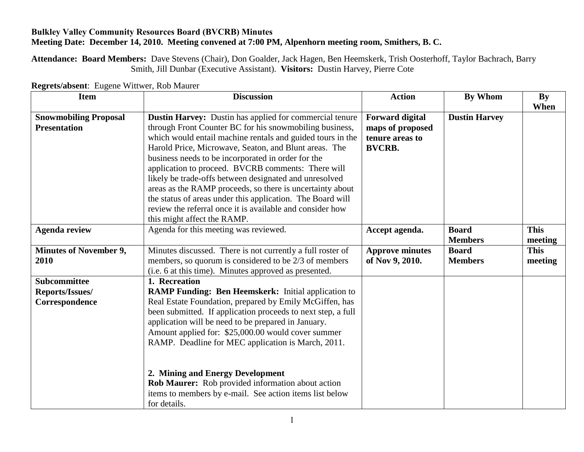## **Bulkley Valley Community Resources Board (BVCRB) Minutes Meeting Date: December 14, 2010. Meeting convened at 7:00 PM, Alpenhorn meeting room, Smithers, B. C.**

**Attendance: Board Members:** Dave Stevens (Chair), Don Goalder, Jack Hagen, Ben Heemskerk, Trish Oosterhoff, Taylor Bachrach, Barry Smith, Jill Dunbar (Executive Assistant). **Visitors:** Dustin Harvey, Pierre Cote

| <b>Item</b>                                              | <b>Discussion</b>                                                                                                                                                                                                                                                                                                                                                                                                                                                                                                                                                                                                                      | <b>Action</b>                                                                  | <b>By Whom</b>                 | $\mathbf{By}$<br>When  |
|----------------------------------------------------------|----------------------------------------------------------------------------------------------------------------------------------------------------------------------------------------------------------------------------------------------------------------------------------------------------------------------------------------------------------------------------------------------------------------------------------------------------------------------------------------------------------------------------------------------------------------------------------------------------------------------------------------|--------------------------------------------------------------------------------|--------------------------------|------------------------|
| <b>Snowmobiling Proposal</b><br><b>Presentation</b>      | Dustin Harvey: Dustin has applied for commercial tenure<br>through Front Counter BC for his snowmobiling business,<br>which would entail machine rentals and guided tours in the<br>Harold Price, Microwave, Seaton, and Blunt areas. The<br>business needs to be incorporated in order for the<br>application to proceed. BVCRB comments: There will<br>likely be trade-offs between designated and unresolved<br>areas as the RAMP proceeds, so there is uncertainty about<br>the status of areas under this application. The Board will<br>review the referral once it is available and consider how<br>this might affect the RAMP. | <b>Forward digital</b><br>maps of proposed<br>tenure areas to<br><b>BVCRB.</b> | <b>Dustin Harvey</b>           |                        |
| <b>Agenda review</b>                                     | Agenda for this meeting was reviewed.                                                                                                                                                                                                                                                                                                                                                                                                                                                                                                                                                                                                  | Accept agenda.                                                                 | <b>Board</b><br><b>Members</b> | <b>This</b><br>meeting |
| <b>Minutes of November 9,</b><br>2010                    | Minutes discussed. There is not currently a full roster of<br>members, so quorum is considered to be 2/3 of members<br>(i.e. 6 at this time). Minutes approved as presented.                                                                                                                                                                                                                                                                                                                                                                                                                                                           | <b>Approve minutes</b><br>of Nov 9, 2010.                                      | <b>Board</b><br><b>Members</b> | <b>This</b><br>meeting |
| <b>Subcommittee</b><br>Reports/Issues/<br>Correspondence | 1. Recreation<br><b>RAMP Funding: Ben Heemskerk:</b> Initial application to<br>Real Estate Foundation, prepared by Emily McGiffen, has<br>been submitted. If application proceeds to next step, a full<br>application will be need to be prepared in January.<br>Amount applied for: \$25,000.00 would cover summer<br>RAMP. Deadline for MEC application is March, 2011.<br>2. Mining and Energy Development<br>Rob Maurer: Rob provided information about action<br>items to members by e-mail. See action items list below<br>for details.                                                                                          |                                                                                |                                |                        |

**Regrets/absent**: Eugene Wittwer, Rob Maurer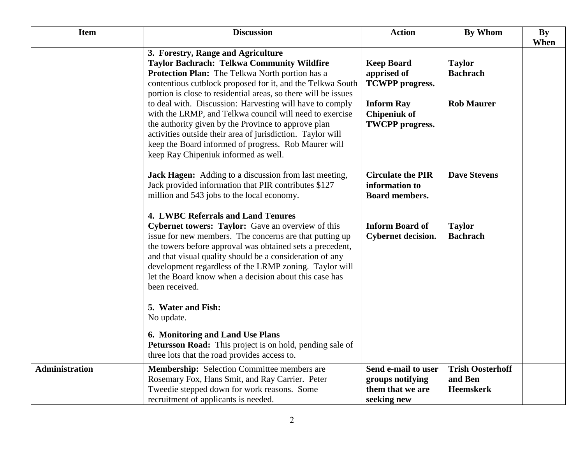| <b>Item</b>           | <b>Discussion</b>                                                                                                                                                                                                                                                                                                                                                                                                        | <b>Action</b>                                                              | <b>By Whom</b>                                         | <b>By</b><br>When |
|-----------------------|--------------------------------------------------------------------------------------------------------------------------------------------------------------------------------------------------------------------------------------------------------------------------------------------------------------------------------------------------------------------------------------------------------------------------|----------------------------------------------------------------------------|--------------------------------------------------------|-------------------|
|                       | 3. Forestry, Range and Agriculture<br><b>Taylor Bachrach: Telkwa Community Wildfire</b><br>Protection Plan: The Telkwa North portion has a<br>contentious cutblock proposed for it, and the Telkwa South<br>portion is close to residential areas, so there will be issues                                                                                                                                               | <b>Keep Board</b><br>apprised of<br><b>TCWPP</b> progress.                 | <b>Taylor</b><br><b>Bachrach</b>                       |                   |
|                       | to deal with. Discussion: Harvesting will have to comply<br>with the LRMP, and Telkwa council will need to exercise<br>the authority given by the Province to approve plan<br>activities outside their area of jurisdiction. Taylor will<br>keep the Board informed of progress. Rob Maurer will<br>keep Ray Chipeniuk informed as well.                                                                                 | <b>Inform Ray</b><br><b>Chipeniuk of</b><br><b>TWCPP</b> progress.         | <b>Rob Maurer</b>                                      |                   |
|                       | <b>Jack Hagen:</b> Adding to a discussion from last meeting,<br>Jack provided information that PIR contributes \$127<br>million and 543 jobs to the local economy.                                                                                                                                                                                                                                                       | <b>Circulate the PIR</b><br>information to<br><b>Board members.</b>        | <b>Dave Stevens</b>                                    |                   |
|                       | <b>4. LWBC Referrals and Land Tenures</b><br>Cybernet towers: Taylor: Gave an overview of this<br>issue for new members. The concerns are that putting up<br>the towers before approval was obtained sets a precedent,<br>and that visual quality should be a consideration of any<br>development regardless of the LRMP zoning. Taylor will<br>let the Board know when a decision about this case has<br>been received. | <b>Inform Board of</b><br><b>Cybernet decision.</b>                        | <b>Taylor</b><br><b>Bachrach</b>                       |                   |
|                       | 5. Water and Fish:<br>No update.                                                                                                                                                                                                                                                                                                                                                                                         |                                                                            |                                                        |                   |
|                       | 6. Monitoring and Land Use Plans<br><b>Petursson Road:</b> This project is on hold, pending sale of<br>three lots that the road provides access to.                                                                                                                                                                                                                                                                      |                                                                            |                                                        |                   |
| <b>Administration</b> | <b>Membership:</b> Selection Committee members are<br>Rosemary Fox, Hans Smit, and Ray Carrier. Peter<br>Tweedie stepped down for work reasons. Some<br>recruitment of applicants is needed.                                                                                                                                                                                                                             | Send e-mail to user<br>groups notifying<br>them that we are<br>seeking new | <b>Trish Oosterhoff</b><br>and Ben<br><b>Heemskerk</b> |                   |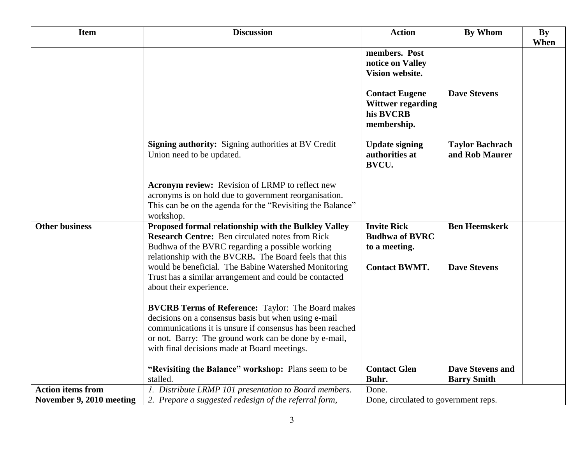| <b>Item</b>              | <b>Discussion</b>                                                                                         | <b>Action</b>                                           | <b>By Whom</b>                                | <b>By</b> |
|--------------------------|-----------------------------------------------------------------------------------------------------------|---------------------------------------------------------|-----------------------------------------------|-----------|
|                          |                                                                                                           |                                                         |                                               | When      |
|                          |                                                                                                           | members. Post<br>notice on Valley                       |                                               |           |
|                          |                                                                                                           | Vision website.                                         |                                               |           |
|                          |                                                                                                           |                                                         |                                               |           |
|                          |                                                                                                           | <b>Contact Eugene</b><br><b>Wittwer regarding</b>       | <b>Dave Stevens</b>                           |           |
|                          |                                                                                                           | his BVCRB<br>membership.                                |                                               |           |
|                          | <b>Signing authority:</b> Signing authorities at BV Credit<br>Union need to be updated.                   | <b>Update signing</b><br>authorities at<br><b>BVCU.</b> | <b>Taylor Bachrach</b><br>and Rob Maurer      |           |
|                          | <b>Acronym review:</b> Revision of LRMP to reflect new                                                    |                                                         |                                               |           |
|                          | acronyms is on hold due to government reorganisation.                                                     |                                                         |                                               |           |
|                          | This can be on the agenda for the "Revisiting the Balance"                                                |                                                         |                                               |           |
|                          | workshop.                                                                                                 |                                                         |                                               |           |
| <b>Other business</b>    | Proposed formal relationship with the Bulkley Valley                                                      | <b>Invite Rick</b>                                      | <b>Ben Heemskerk</b>                          |           |
|                          | <b>Research Centre:</b> Ben circulated notes from Rick<br>Budhwa of the BVRC regarding a possible working | <b>Budhwa of BVRC</b><br>to a meeting.                  |                                               |           |
|                          | relationship with the BVCRB. The Board feels that this                                                    |                                                         |                                               |           |
|                          | would be beneficial. The Babine Watershed Monitoring                                                      | <b>Contact BWMT.</b>                                    | <b>Dave Stevens</b>                           |           |
|                          | Trust has a similar arrangement and could be contacted                                                    |                                                         |                                               |           |
|                          | about their experience.                                                                                   |                                                         |                                               |           |
|                          | <b>BVCRB Terms of Reference:</b> Taylor: The Board makes                                                  |                                                         |                                               |           |
|                          | decisions on a consensus basis but when using e-mail                                                      |                                                         |                                               |           |
|                          | communications it is unsure if consensus has been reached                                                 |                                                         |                                               |           |
|                          | or not. Barry: The ground work can be done by e-mail,                                                     |                                                         |                                               |           |
|                          | with final decisions made at Board meetings.                                                              |                                                         |                                               |           |
|                          |                                                                                                           |                                                         |                                               |           |
|                          | "Revisiting the Balance" workshop: Plans seem to be<br>stalled.                                           | <b>Contact Glen</b><br>Buhr.                            | <b>Dave Stevens and</b><br><b>Barry Smith</b> |           |
| <b>Action items from</b> | 1. Distribute LRMP 101 presentation to Board members.                                                     | Done.                                                   |                                               |           |
| November 9, 2010 meeting | 2. Prepare a suggested redesign of the referral form,                                                     | Done, circulated to government reps.                    |                                               |           |